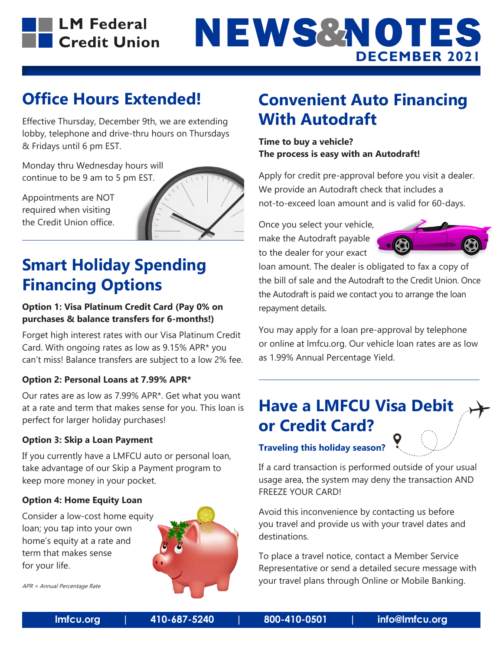

## **NEWS&NOTES DECEMBER 2021**

## **Office Hours Extended!**

Effective Thursday, December 9th, we are extending lobby, telephone and drive-thru hours on Thursdays & Fridays until 6 pm EST.

Monday thru Wednesday hours will continue to be 9 am to 5 pm EST.

Appointments are NOT required when visiting the Credit Union office.



## **Smart Holiday Spending Financing Options**

### **Option 1: Visa Platinum Credit Card (Pay 0% on purchases & balance transfers for 6-months!)**

Forget high interest rates with our Visa Platinum Credit Card. With ongoing rates as low as 9.15% APR\* you can't miss! Balance transfers are subject to a low 2% fee.

### **Option 2: Personal Loans at 7.99% APR\***

Our rates are as low as 7.99% APR\*. Get what you want at a rate and term that makes sense for you. This loan is perfect for larger holiday purchases!

### **Option 3: Skip a Loan Payment**

If you currently have a LMFCU auto or personal loan, take advantage of our Skip a Payment program to keep more money in your pocket.

### **Option 4: Home Equity Loan**

Consider a low-cost home equity loan; you tap into your own home's equity at a rate and term that makes sense for your life.



APR = Annual Percentage Rate

## **Convenient Auto Financing With Autodraft**

**Time to buy a vehicle? The process is easy with an Autodraft!**

Apply for credit pre-approval before you visit a dealer. We provide an Autodraft check that includes a not-to-exceed loan amount and is valid for 60-days.

Once you select your vehicle, make the Autodraft payable to the dealer for your exact



loan amount. The dealer is obligated to fax a copy of the bill of sale and the Autodraft to the Credit Union. Once the Autodraft is paid we contact you to arrange the loan repayment details.

You may apply for a loan pre-approval by telephone or online at lmfcu.org. Our vehicle loan rates are as low as 1.99% Annual Percentage Yield.

## **Have a LMFCU Visa Debit or Credit Card?**

**Traveling this holiday season?**

If a card transaction is performed outside of your usual usage area, the system may deny the transaction AND FREEZE YOUR CARD!

Avoid this inconvenience by contacting us before you travel and provide us with your travel dates and destinations.

To place a travel notice, contact a Member Service Representative or send a detailed secure message with your travel plans through Online or Mobile Banking.